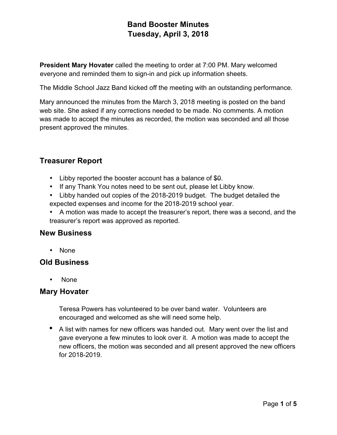**President Mary Hovater** called the meeting to order at 7:00 PM. Mary welcomed everyone and reminded them to sign-in and pick up information sheets.

The Middle School Jazz Band kicked off the meeting with an outstanding performance.

Mary announced the minutes from the March 3, 2018 meeting is posted on the band web site. She asked if any corrections needed to be made. No comments. A motion was made to accept the minutes as recorded, the motion was seconded and all those present approved the minutes.

# **Treasurer Report**

- Libby reported the booster account has a balance of \$0.
- If any Thank You notes need to be sent out, please let Libby know.
- Libby handed out copies of the 2018-2019 budget. The budget detailed the expected expenses and income for the 2018-2019 school year.
- A motion was made to accept the treasurer's report, there was a second, and the treasurer's report was approved as reported.

## **New Business**

• None

### **Old Business**

• None

### **Mary Hovater**

Teresa Powers has volunteered to be over band water. Volunteers are encouraged and welcomed as she will need some help.

• A list with names for new officers was handed out. Mary went over the list and gave everyone a few minutes to look over it. A motion was made to accept the new officers, the motion was seconded and all present approved the new officers for 2018-2019.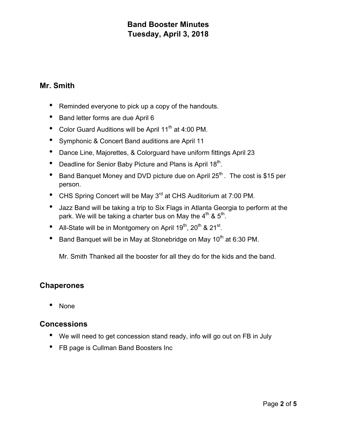## **Mr. Smith**

- Reminded everyone to pick up a copy of the handouts.
- Band letter forms are due April 6
- Color Guard Auditions will be April 11<sup>th</sup> at 4:00 PM.
- Symphonic & Concert Band auditions are April 11
- Dance Line, Majorettes, & Colorguard have uniform fittings April 23
- Deadline for Senior Baby Picture and Plans is April  $18<sup>th</sup>$ .
- Band Banquet Money and DVD picture due on April  $25<sup>th</sup>$ . The cost is \$15 per person.
- CHS Spring Concert will be May 3<sup>rd</sup> at CHS Auditorium at 7:00 PM.
- Jazz Band will be taking a trip to Six Flags in Atlanta Georgia to perform at the park. We will be taking a charter bus on May the  $4<sup>th</sup>$  &  $5<sup>th</sup>$ .
- All-State will be in Montgomery on April  $19^{th}$ ,  $20^{th}$  &  $21^{st}$ .
- Band Banquet will be in May at Stonebridge on May  $10<sup>th</sup>$  at 6:30 PM.

Mr. Smith Thanked all the booster for all they do for the kids and the band.

## **Chaperones**

• None

### **Concessions**

- We will need to get concession stand ready, info will go out on FB in July
- FB page is Cullman Band Boosters Inc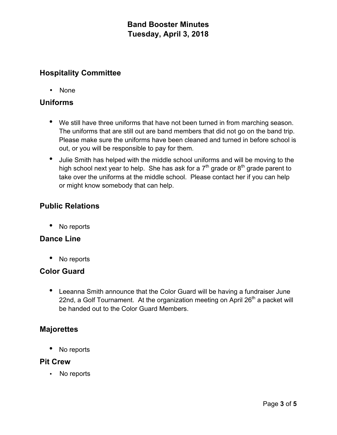## **Hospitality Committee**

• None

## **Uniforms**

- We still have three uniforms that have not been turned in from marching season. The uniforms that are still out are band members that did not go on the band trip. Please make sure the uniforms have been cleaned and turned in before school is out, or you will be responsible to pay for them.
- Julie Smith has helped with the middle school uniforms and will be moving to the high school next year to help. She has ask for a  $7<sup>th</sup>$  grade or  $8<sup>th</sup>$  grade parent to take over the uniforms at the middle school. Please contact her if you can help or might know somebody that can help.

## **Public Relations**

• No reports

### **Dance Line**

• No reports

## **Color Guard**

• Leeanna Smith announce that the Color Guard will be having a fundraiser June 22nd, a Golf Tournament. At the organization meeting on April 26<sup>th</sup> a packet will be handed out to the Color Guard Members.

### **Majorettes**

No reports

### **Pit Crew**

• No reports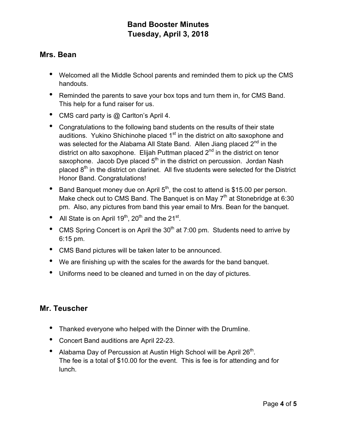## **Mrs. Bean**

- Welcomed all the Middle School parents and reminded them to pick up the CMS handouts.
- Reminded the parents to save your box tops and turn them in, for CMS Band. This help for a fund raiser for us.
- CMS card party is @ Carlton's April 4.
- Congratulations to the following band students on the results of their state auditions. Yukino Shichinohe placed  $1<sup>st</sup>$  in the district on alto saxophone and was selected for the Alabama All State Band. Allen Jiang placed  $2^{nd}$  in the district on alto saxophone. Elijah Puttman placed  $2<sup>nd</sup>$  in the district on tenor saxophone. Jacob Dye placed  $5<sup>th</sup>$  in the district on percussion. Jordan Nash placed  $8<sup>th</sup>$  in the district on clarinet. All five students were selected for the District Honor Band. Congratulations!
- Band Banquet money due on April  $5<sup>th</sup>$ , the cost to attend is \$15.00 per person. Make check out to CMS Band. The Banquet is on May  $7<sup>th</sup>$  at Stonebridge at 6:30 pm. Also, any pictures from band this year email to Mrs. Bean for the banquet.
- All State is on April  $19<sup>th</sup>$ ,  $20<sup>th</sup>$  and the  $21<sup>st</sup>$ .
- CMS Spring Concert is on April the  $30<sup>th</sup>$  at 7:00 pm. Students need to arrive by 6:15 pm.
- CMS Band pictures will be taken later to be announced.
- We are finishing up with the scales for the awards for the band banquet.
- Uniforms need to be cleaned and turned in on the day of pictures.

## **Mr. Teuscher**

- Thanked everyone who helped with the Dinner with the Drumline.
- Concert Band auditions are April 22-23.
- Alabama Day of Percussion at Austin High School will be April 26<sup>th</sup>. The fee is a total of \$10.00 for the event. This is fee is for attending and for lunch.